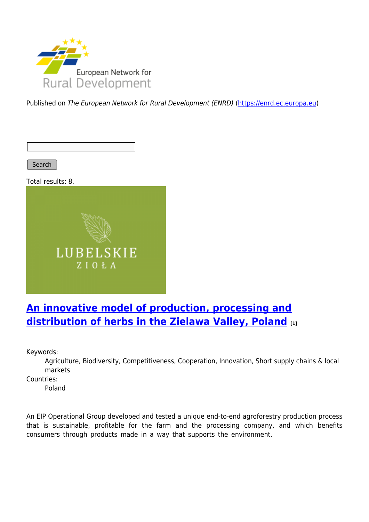

Published on The European Network for Rural Development (ENRD) [\(https://enrd.ec.europa.eu](https://enrd.ec.europa.eu))

Search

Total results: 8.



## **[An innovative model of production, processing and](https://enrd.ec.europa.eu/projects-practice/innovative-model-production-processing-and-distribution-herbs-zielawa-valley_en) [distribution of herbs in the Zielawa Valley, Poland](https://enrd.ec.europa.eu/projects-practice/innovative-model-production-processing-and-distribution-herbs-zielawa-valley_en) [1]**

Keywords:

Agriculture, Biodiversity, Competitiveness, Cooperation, Innovation, Short supply chains & local markets

Countries:

Poland

An EIP Operational Group developed and tested a unique end-to-end agroforestry production process that is sustainable, profitable for the farm and the processing company, and which benefits consumers through products made in a way that supports the environment.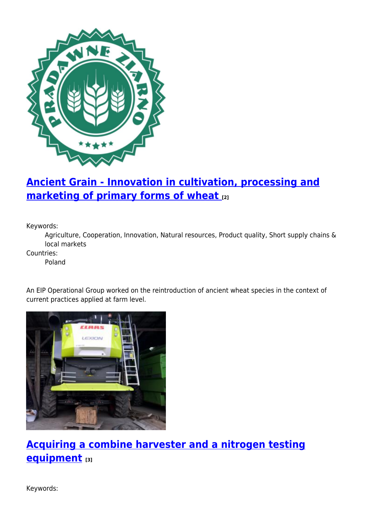

# **[Ancient Grain - Innovation in cultivation, processing and](https://enrd.ec.europa.eu/projects-practice/ancient-grain-innovation-cultivation-processing-and-marketing-primary-forms-wheat_en) [marketing of primary forms of wheat](https://enrd.ec.europa.eu/projects-practice/ancient-grain-innovation-cultivation-processing-and-marketing-primary-forms-wheat_en) [2]**

Keywords:

Agriculture, Cooperation, Innovation, Natural resources, Product quality, Short supply chains & local markets

Countries:

Poland

An EIP Operational Group worked on the reintroduction of ancient wheat species in the context of current practices applied at farm level.



**[Acquiring a combine harvester and a nitrogen testing](https://enrd.ec.europa.eu/projects-practice/acquiring-combine-harvester-and-nitrogen-testing-equipment_en) [equipment](https://enrd.ec.europa.eu/projects-practice/acquiring-combine-harvester-and-nitrogen-testing-equipment_en) [3]**

Keywords: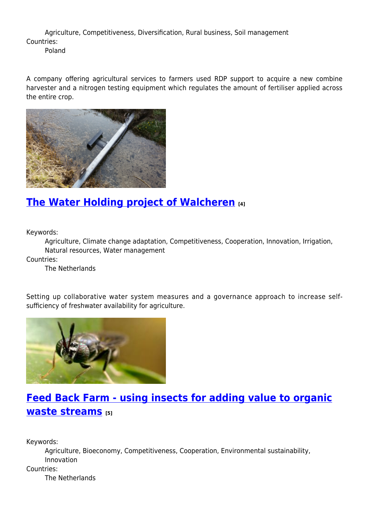Agriculture, Competitiveness, Diversification, Rural business, Soil management Countries:

Poland

A company offering agricultural services to farmers used RDP support to acquire a new combine harvester and a nitrogen testing equipment which regulates the amount of fertiliser applied across the entire crop.



## **[The Water Holding project of Walcheren](https://enrd.ec.europa.eu/projects-practice/water-holding-project-walcheren_en) [4]**

Keywords:

Agriculture, Climate change adaptation, Competitiveness, Cooperation, Innovation, Irrigation, Natural resources, Water management

Countries:

The Netherlands

Setting up collaborative water system measures and a governance approach to increase selfsufficiency of freshwater availability for agriculture.



# **[Feed Back Farm - using insects for adding value to organic](https://enrd.ec.europa.eu/projects-practice/feed-back-farm-using-insects-adding-value-organic-waste-streams_en) [waste streams](https://enrd.ec.europa.eu/projects-practice/feed-back-farm-using-insects-adding-value-organic-waste-streams_en) [5]**

Keywords:

Agriculture, Bioeconomy, Competitiveness, Cooperation, Environmental sustainability, Innovation Countries:

The Netherlands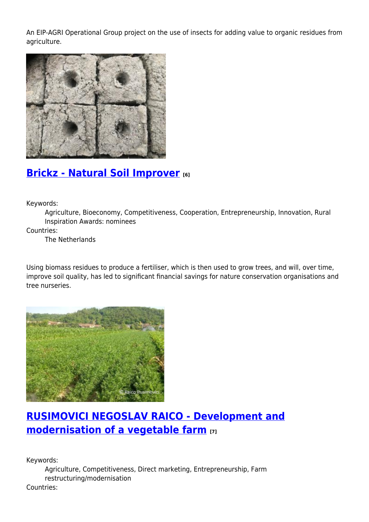An EIP-AGRI Operational Group project on the use of insects for adding value to organic residues from agriculture.



## **[Brickz - Natural Soil Improver](https://enrd.ec.europa.eu/projects-practice/brickz-natural-soil-improver_en) [6]**

Keywords:

Agriculture, Bioeconomy, Competitiveness, Cooperation, Entrepreneurship, Innovation, Rural Inspiration Awards: nominees

Countries:

The Netherlands

Using biomass residues to produce a fertiliser, which is then used to grow trees, and will, over time, improve soil quality, has led to significant financial savings for nature conservation organisations and tree nurseries.



# **[RUSIMOVICI NEGOSLAV RAICO - Development and](https://enrd.ec.europa.eu/projects-practice/rusimovici-negoslav-raico-development-and-modernisation-vegetable-farm_en) [modernisation of a vegetable farm](https://enrd.ec.europa.eu/projects-practice/rusimovici-negoslav-raico-development-and-modernisation-vegetable-farm_en) [7]**

Keywords:

Agriculture, Competitiveness, Direct marketing, Entrepreneurship, Farm restructuring/modernisation

Countries: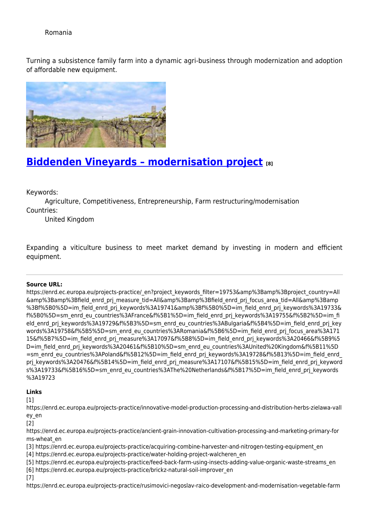### Romania

Turning a subsistence family farm into a dynamic agri-business through modernization and adoption of affordable new equipment.



## **[Biddenden Vineyards – modernisation project](https://enrd.ec.europa.eu/projects-practice/biddenden-vineyards-modernisation-project_en) [8]**

Keywords:

Agriculture, Competitiveness, Entrepreneurship, Farm restructuring/modernisation Countries:

United Kingdom

Expanding a viticulture business to meet market demand by investing in modern and efficient equipment.

#### **Source URL:**

https://enrd.ec.europa.eu/projects-practice/\_en?project\_keywords\_filter=19753&amp%3Bamp%3Bproject\_country=All &amp%3Bamp%3Bfield\_enrd\_prj\_measure\_tid=All&amp%3Bamp%3Bfield\_enrd\_prj\_focus\_area\_tid=All&amp%3Bamp %3Bf%5B0%5D=im\_field\_enrd\_prj\_keywords%3A19741&amp%3Bf%5B0%5D=im\_field\_enrd\_prj\_keywords%3A19733& f%5B0%5D=sm\_enrd\_eu\_countries%3AFrance&f%5B1%5D=im\_field\_enrd\_prj\_keywords%3A19755&f%5B2%5D=im\_fi eld\_enrd\_prj\_keywords%3A19729&f%5B3%5D=sm\_enrd\_eu\_countries%3ABulgaria&f%5B4%5D=im\_field\_enrd\_prj\_key words%3A19758&f%5B5%5D=sm\_enrd\_eu\_countries%3ARomania&f%5B6%5D=im\_field\_enrd\_prj\_focus\_area%3A171 15&f%5B7%5D=im\_field\_enrd\_prj\_measure%3A17097&f%5B8%5D=im\_field\_enrd\_prj\_keywords%3A20466&f%5B9%5 D=im\_field\_enrd\_prj\_keywords%3A20461&f%5B10%5D=sm\_enrd\_eu\_countries%3AUnited%20Kingdom&f%5B11%5D =sm\_enrd\_eu\_countries%3APoland&f%5B12%5D=im\_field\_enrd\_prj\_keywords%3A19728&f%5B13%5D=im\_field\_enrd prj keywords%3A20476&f%5B14%5D=im\_field\_enrd\_prj\_measure%3A17107&f%5B15%5D=im\_field\_enrd\_prj\_keyword s%3A19733&f%5B16%5D=sm\_enrd\_eu\_countries%3AThe%20Netherlands&f%5B17%5D=im\_field\_enrd\_prj\_keywords %3A19723

### **Links**

 $[1]$ 

https://enrd.ec.europa.eu/projects-practice/innovative-model-production-processing-and-distribution-herbs-zielawa-vall ey\_en

[2]

https://enrd.ec.europa.eu/projects-practice/ancient-grain-innovation-cultivation-processing-and-marketing-primary-for ms-wheat\_en

[3] https://enrd.ec.europa.eu/projects-practice/acquiring-combine-harvester-and-nitrogen-testing-equipment\_en

[4] https://enrd.ec.europa.eu/projects-practice/water-holding-project-walcheren\_en

[5] https://enrd.ec.europa.eu/projects-practice/feed-back-farm-using-insects-adding-value-organic-waste-streams\_en

[6] https://enrd.ec.europa.eu/projects-practice/brickz-natural-soil-improver\_en

[7]

https://enrd.ec.europa.eu/projects-practice/rusimovici-negoslav-raico-development-and-modernisation-vegetable-farm